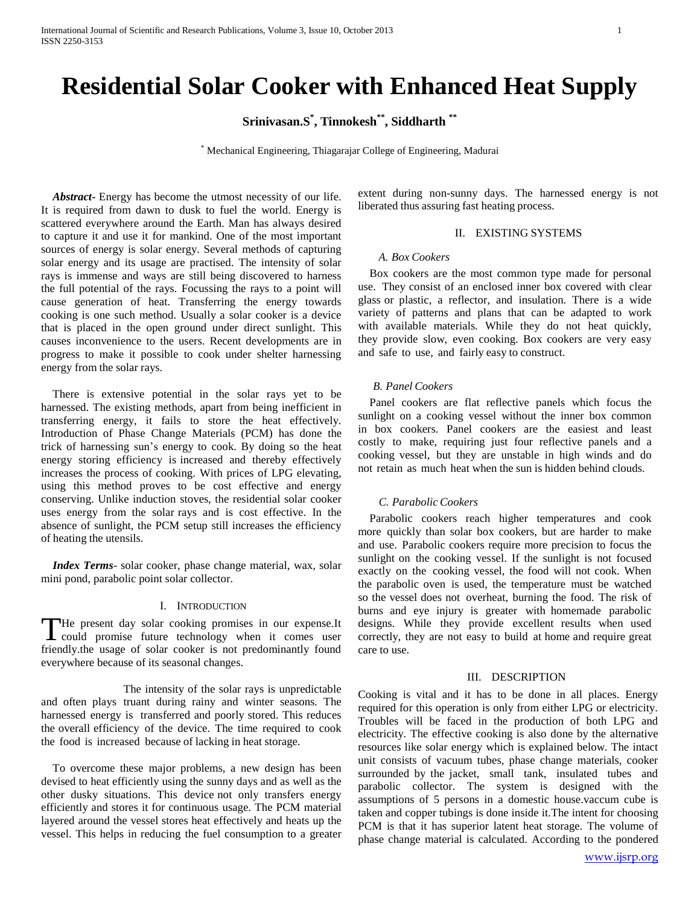# **Residential Solar Cooker with Enhanced Heat Supply**

**Srinivasan.S \* , Tinnokesh\*\* , Siddharth \*\***

\* Mechanical Engineering, Thiagarajar College of Engineering, Madurai

*Abstract***-** Energy has become the utmost necessity of our life. It is required from dawn to dusk to fuel the world. Energy is scattered everywhere around the Earth. Man has always desired to capture it and use it for mankind. One of the most important sources of energy is solar energy. Several methods of capturing solar energy and its usage are practised. The intensity of solar rays is immense and ways are still being discovered to harness the full potential of the rays. Focussing the rays to a point will cause generation of heat. Transferring the energy towards cooking is one such method. Usually a solar cooker is a device that is placed in the open ground under direct sunlight. This causes inconvenience to the users. Recent developments are in progress to make it possible to cook under shelter harnessing energy from the solar rays.

There is extensive potential in the solar rays yet to be harnessed. The existing methods, apart from being inefficient in transferring energy, it fails to store the heat effectively. Introduction of Phase Change Materials (PCM) has done the trick of harnessing sun's energy to cook. By doing so the heat energy storing efficiency is increased and thereby effectively increases the process of cooking. With prices of LPG elevating, using this method proves to be cost effective and energy conserving. Unlike induction stoves, the residential solar cooker uses energy from the solar rays and is cost effective. In the absence of sunlight, the PCM setup still increases the efficiency of heating the utensils.

 *Index Terms*- solar cooker, phase change material, wax, solar mini pond, parabolic point solar collector.

#### I. INTRODUCTION

He present day solar cooking promises in our expense.It The present day solar cooking promises in our expense.It could promise future technology when it comes user friendly.the usage of solar cooker is not predominantly found everywhere because of its seasonal changes.

The intensity of the solar rays is unpredictable and often plays truant during rainy and winter seasons. The harnessed energy is transferred and poorly stored. This reduces the overall efficiency of the device. The time required to cook the food is increased because of lacking in heat storage.

To overcome these major problems, a new design has been devised to heat efficiently using the sunny days and as well as the other dusky situations. This device not only transfers energy efficiently and stores it for continuous usage. The PCM material layered around the vessel stores heat effectively and heats up the vessel. This helps in reducing the fuel consumption to a greater

extent during non-sunny days. The harnessed energy is not liberated thus assuring fast heating process.

## II. EXISTING SYSTEMS

#### *A. Box Cookers*

Box cookers are the most common type made for personal use. They consist of an enclosed inner box covered with clear glass or plastic, a reflector, and insulation. There is a wide variety of patterns and plans that can be adapted to work with available materials. While they do not heat quickly, they provide slow, even cooking. Box cookers are very easy and safe to use, and fairly easy to construct.

#### *B. Panel Cookers*

Panel cookers are flat reflective panels which focus the sunlight on a cooking vessel without the inner box common in box cookers. Panel cookers are the easiest and least costly to make, requiring just four reflective panels and a cooking vessel, but they are unstable in high winds and do not retain as much heat when the sun is hidden behind clouds.

## *C. Parabolic Cookers*

Parabolic cookers reach higher temperatures and cook more quickly than solar box cookers, but are harder to make and use. Parabolic cookers require more precision to focus the sunlight on the cooking vessel. If the sunlight is not focused exactly on the cooking vessel, the food will not cook. When the parabolic oven is used, the temperature must be watched so the vessel does not overheat, burning the food. The risk of burns and eye injury is greater with homemade parabolic designs. While they provide excellent results when used correctly, they are not easy to build at home and require great care to use.

#### III. DESCRIPTION

Cooking is vital and it has to be done in all places. Energy required for this operation is only from either LPG or electricity. Troubles will be faced in the production of both LPG and electricity. The effective cooking is also done by the alternative resources like solar energy which is explained below. The intact unit consists of vacuum tubes, phase change materials, cooker surrounded by the jacket, small tank, insulated tubes and parabolic collector. The system is designed with the assumptions of 5 persons in a domestic house.vaccum cube is taken and copper tubings is done inside it.The intent for choosing PCM is that it has superior latent heat storage. The volume of phase change material is calculated. According to the pondered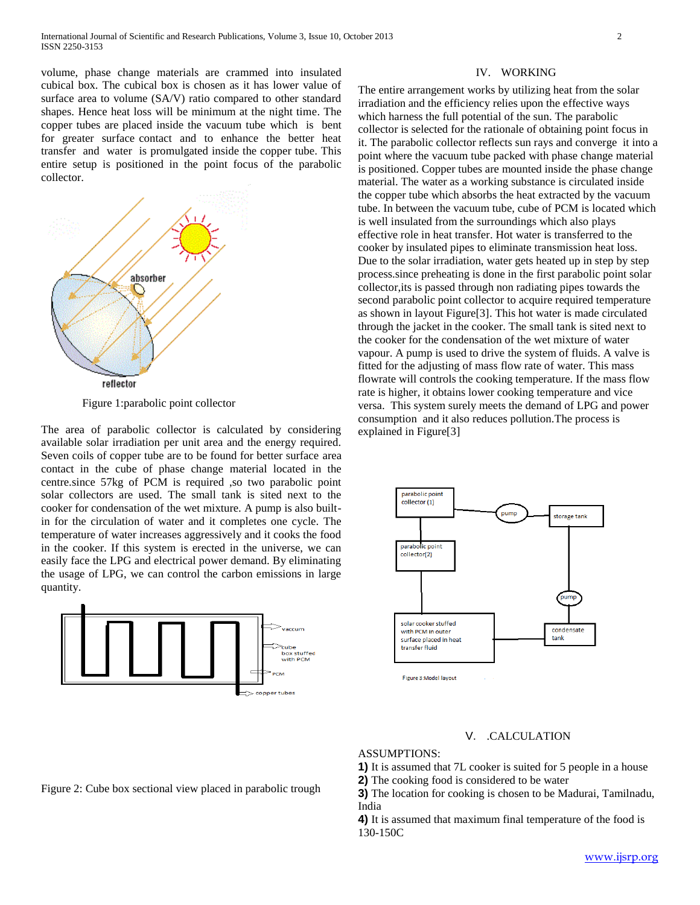volume, phase change materials are crammed into insulated cubical box. The cubical box is chosen as it has lower value of surface area to volume (SA/V) ratio compared to other standard shapes. Hence heat loss will be minimum at the night time. The copper tubes are placed inside the vacuum tube which is bent for greater surface contact and to enhance the better heat transfer and water is promulgated inside the copper tube. This entire setup is positioned in the point focus of the parabolic collector.



Figure 1:parabolic point collector

The area of parabolic collector is calculated by considering available solar irradiation per unit area and the energy required. Seven coils of copper tube are to be found for better surface area contact in the cube of phase change material located in the centre.since 57kg of PCM is required ,so two parabolic point solar collectors are used. The small tank is sited next to the cooker for condensation of the wet mixture. A pump is also builtin for the circulation of water and it completes one cycle. The temperature of water increases aggressively and it cooks the food in the cooker. If this system is erected in the universe, we can easily face the LPG and electrical power demand. By eliminating the usage of LPG, we can control the carbon emissions in large quantity.



#### IV. WORKING

The entire arrangement works by utilizing heat from the solar irradiation and the efficiency relies upon the effective ways which harness the full potential of the sun. The parabolic collector is selected for the rationale of obtaining point focus in it. The parabolic collector reflects sun rays and converge it into a point where the vacuum tube packed with phase change material is positioned. Copper tubes are mounted inside the phase change material. The water as a working substance is circulated inside the copper tube which absorbs the heat extracted by the vacuum tube. In between the vacuum tube, cube of PCM is located which is well insulated from the surroundings which also plays effective role in heat transfer. Hot water is transferred to the cooker by insulated pipes to eliminate transmission heat loss. Due to the solar irradiation, water gets heated up in step by step process.since preheating is done in the first parabolic point solar collector,its is passed through non radiating pipes towards the second parabolic point collector to acquire required temperature as shown in layout Figure[3]. This hot water is made circulated through the jacket in the cooker. The small tank is sited next to the cooker for the condensation of the wet mixture of water vapour. A pump is used to drive the system of fluids. A valve is fitted for the adjusting of mass flow rate of water. This mass flowrate will controls the cooking temperature. If the mass flow rate is higher, it obtains lower cooking temperature and vice versa. This system surely meets the demand of LPG and power consumption and it also reduces pollution.The process is explained in Figure[3]



#### V. .CALCULATION

## ASSUMPTIONS:

**1)** It is assumed that 7L cooker is suited for 5 people in a house

**2)** The cooking food is considered to be water

**3)** The location for cooking is chosen to be Madurai, Tamilnadu, India

**4)** It is assumed that maximum final temperature of the food is 130-150C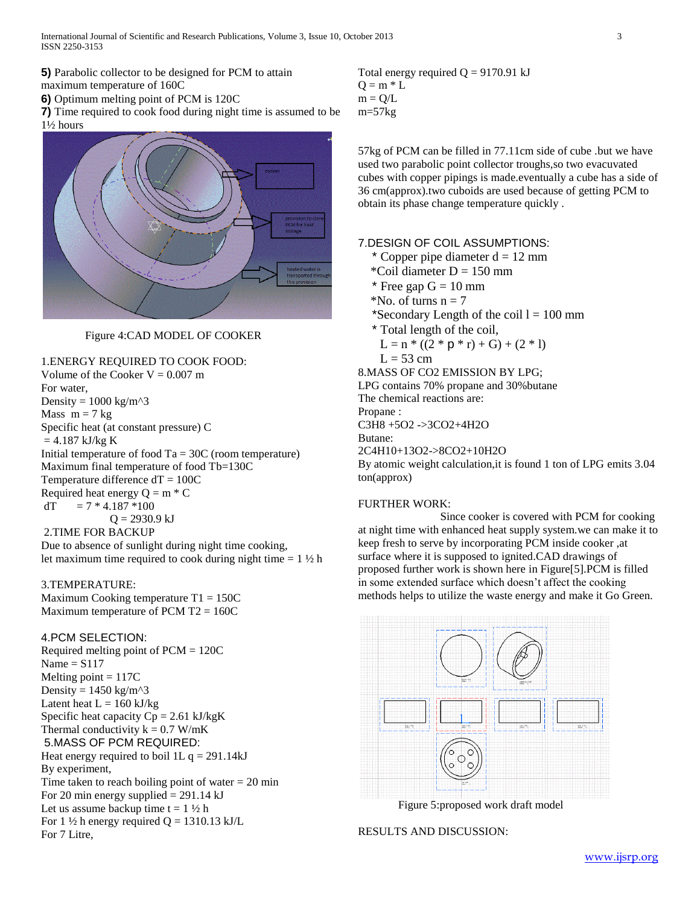**5)** Parabolic collector to be designed for PCM to attain maximum temperature of 160C

**6)** Optimum melting point of PCM is 120C

**7)** Time required to cook food during night time is assumed to be 1½ hours



## Figure 4:CAD MODEL OF COOKER

## 1.ENERGY REQUIRED TO COOK FOOD:

Volume of the Cooker  $V = 0.007$  m For water, Density =  $1000 \text{ kg/m}^3$ Mass  $m = 7$  kg Specific heat (at constant pressure) C  $= 4.187$  kJ/kg K Initial temperature of food  $Ta = 30C$  (room temperature) Maximum final temperature of food Tb=130C Temperature difference  $dT = 100C$ Required heat energy  $Q = m * C$  $dT = 7 * 4.187 * 100$  $Q = 2930.9$  kJ 2.TIME FOR BACKUP Due to absence of sunlight during night time cooking,

let maximum time required to cook during night time  $= 1 \frac{1}{2}$  h

## 3.TEMPERATURE:

Maximum Cooking temperature T1 = 150C Maximum temperature of PCM T2 = 160C

#### 4.PCM SELECTION:

Required melting point of PCM = 120C Name  $=$  S117 Melting point  $= 117C$ Density =  $1450 \text{ kg/m}^3$ Latent heat  $L = 160$  kJ/kg Specific heat capacity  $Cp = 2.61$  kJ/kgK Thermal conductivity  $k = 0.7$  W/mK 5.MASS OF PCM REQUIRED: Heat energy required to boil 1L  $q = 291.14 \text{ kJ}$ By experiment, Time taken to reach boiling point of water  $= 20$  min For 20 min energy supplied  $= 291.14 \text{ kJ}$ Let us assume backup time  $t = 1 \frac{1}{2} h$ For 1  $\frac{1}{2}$  h energy required Q = 1310.13 kJ/L For 7 Litre,

Total energy required  $Q = 9170.91$  kJ  $Q = m * L$  $m = Q/L$ m=57kg

57kg of PCM can be filled in 77.11cm side of cube .but we have used two parabolic point collector troughs,so two evacuvated cubes with copper pipings is made.eventually a cube has a side of 36 cm(approx).two cuboids are used because of getting PCM to obtain its phase change temperature quickly .

#### 7.DESIGN OF COIL ASSUMPTIONS:

\* Copper pipe diameter  $d = 12$  mm

- $^*$ Coil diameter D = 150 mm
- \* Free gap  $G = 10$  mm
- $*$ No. of turns  $n = 7$
- \*Secondary Length of the coil  $l = 100$  mm
- \* Total length of the coil,

$$
L = n * ((2 * p * r) + G) + (2 * l)
$$

$$
L = 53 \, \mathrm{cm}
$$

8.MASS OF CO2 EMISSION BY LPG; LPG contains 70% propane and 30%butane The chemical reactions are: Propane : C3H8 +5O2 ->3CO2+4H2O Butane: 2C4H10+13O2->8CO2+10H2O By atomic weight calculation,it is found 1 ton of LPG emits 3.04 ton(approx)

## FURTHER WORK:

Since cooker is covered with PCM for cooking at night time with enhanced heat supply system.we can make it to keep fresh to serve by incorporating PCM inside cooker ,at surface where it is supposed to ignited.CAD drawings of proposed further work is shown here in Figure[5].PCM is filled in some extended surface which doesn't affect the cooking methods helps to utilize the waste energy and make it Go Green.



Figure 5:proposed work draft model

## RESULTS AND DISCUSSION: